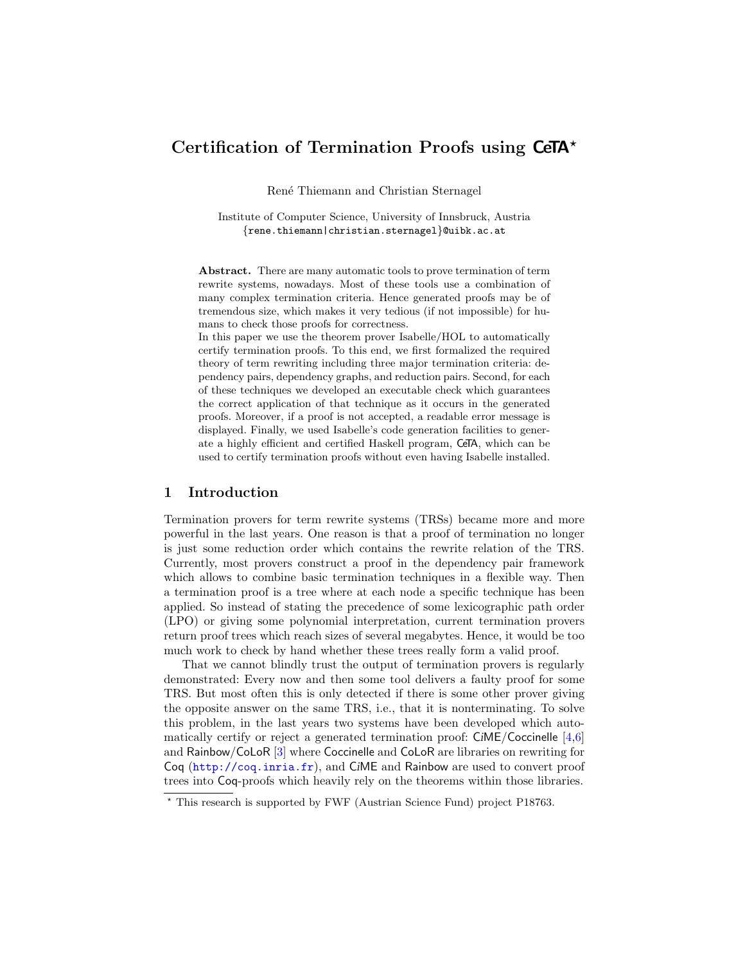# <span id="page-0-0"></span>Certification of Termination Proofs using  $CerA^*$

Ren´e Thiemann and Christian Sternagel

Institute of Computer Science, University of Innsbruck, Austria {rene.thiemann|christian.sternagel}@uibk.ac.at

Abstract. There are many automatic tools to prove termination of term rewrite systems, nowadays. Most of these tools use a combination of many complex termination criteria. Hence generated proofs may be of tremendous size, which makes it very tedious (if not impossible) for humans to check those proofs for correctness.

In this paper we use the theorem prover Isabelle/HOL to automatically certify termination proofs. To this end, we first formalized the required theory of term rewriting including three major termination criteria: dependency pairs, dependency graphs, and reduction pairs. Second, for each of these techniques we developed an executable check which guarantees the correct application of that technique as it occurs in the generated proofs. Moreover, if a proof is not accepted, a readable error message is displayed. Finally, we used Isabelle's code generation facilities to generate a highly efficient and certified Haskell program, CeTA, which can be used to certify termination proofs without even having Isabelle installed.

### 1 Introduction

Termination provers for term rewrite systems (TRSs) became more and more powerful in the last years. One reason is that a proof of termination no longer is just some reduction order which contains the rewrite relation of the TRS. Currently, most provers construct a proof in the dependency pair framework which allows to combine basic termination techniques in a flexible way. Then a termination proof is a tree where at each node a specific technique has been applied. So instead of stating the precedence of some lexicographic path order (LPO) or giving some polynomial interpretation, current termination provers return proof trees which reach sizes of several megabytes. Hence, it would be too much work to check by hand whether these trees really form a valid proof.

That we cannot blindly trust the output of termination provers is regularly demonstrated: Every now and then some tool delivers a faulty proof for some TRS. But most often this is only detected if there is some other prover giving the opposite answer on the same TRS, i.e., that it is nonterminating. To solve this problem, in the last years two systems have been developed which automatically certify or reject a generated termination proof: CiME/Coccinelle [\[4,](#page-15-0)[6\]](#page-15-1) and Rainbow/CoLoR [\[3\]](#page-15-2) where Coccinelle and CoLoR are libraries on rewriting for Coq (<http://coq.inria.fr>), and CiME and Rainbow are used to convert proof trees into Coq-proofs which heavily rely on the theorems within those libraries.

<sup>?</sup> This research is supported by FWF (Austrian Science Fund) project P18763.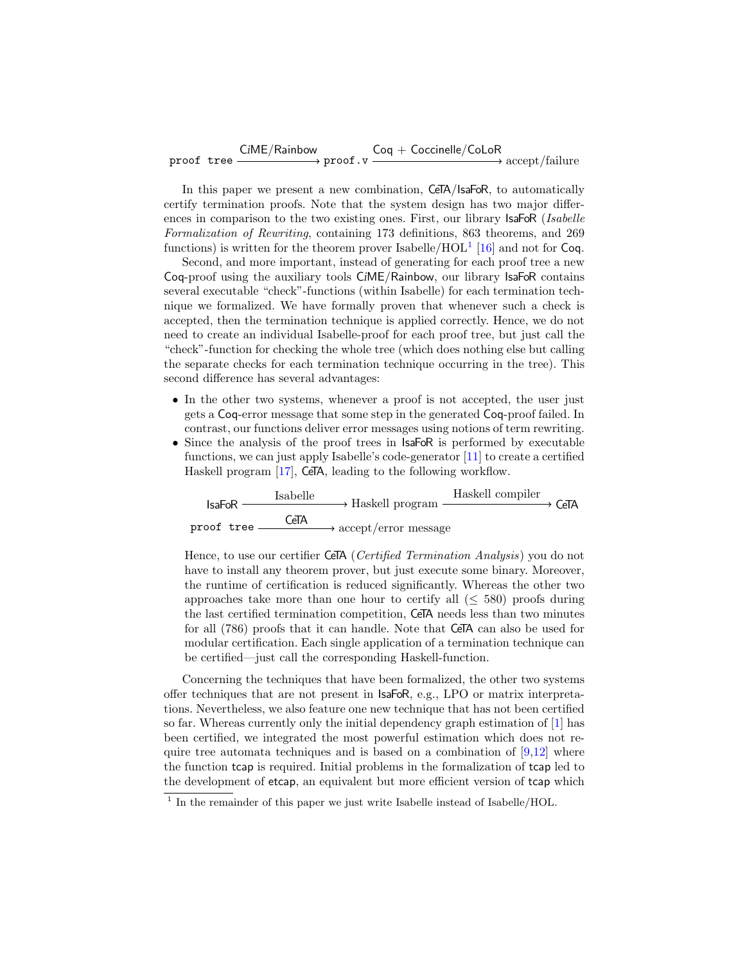In this paper we present a new combination, CeTA/IsaFoR, to automatically certify termination proofs. Note that the system design has two major differences in comparison to the two existing ones. First, our library **IsaFoR** (Isabelle Formalization of Rewriting, containing 173 definitions, 863 theorems, and 269 functions) is written for the theorem prover Isabelle/ $HOL<sup>1</sup>$  $HOL<sup>1</sup>$  $HOL<sup>1</sup>$  [\[16\]](#page-15-3) and not for Coq.

Second, and more important, instead of generating for each proof tree a new Coq-proof using the auxiliary tools CiME/Rainbow, our library IsaFoR contains several executable "check"-functions (within Isabelle) for each termination technique we formalized. We have formally proven that whenever such a check is accepted, then the termination technique is applied correctly. Hence, we do not need to create an individual Isabelle-proof for each proof tree, but just call the "check"-function for checking the whole tree (which does nothing else but calling the separate checks for each termination technique occurring in the tree). This second difference has several advantages:

- In the other two systems, whenever a proof is not accepted, the user just gets a Coq-error message that some step in the generated Coq-proof failed. In contrast, our functions deliver error messages using notions of term rewriting.
- Since the analysis of the proof trees in  $IsaF\circ R$  is performed by executable functions, we can just apply Isabelle's code-generator [\[11\]](#page-15-4) to create a certified Haskell program [\[17\]](#page-15-5), CeTA, leading to the following workflow.

 $IsaFoR \longrightarrow$  Isabelle  $\xrightarrow{\text{Haskell} }$  compiler CeTA proof tree  $\frac{\text{CeTA}}{\text{accept}/\text{error message}}$ 

Hence, to use our certifier CeTA (Certified Termination Analysis) you do not have to install any theorem prover, but just execute some binary. Moreover, the runtime of certification is reduced significantly. Whereas the other two approaches take more than one hour to certify all  $(\leq 580)$  proofs during the last certified termination competition, CeTA needs less than two minutes for all (786) proofs that it can handle. Note that CeTA can also be used for modular certification. Each single application of a termination technique can be certified—just call the corresponding Haskell-function.

Concerning the techniques that have been formalized, the other two systems offer techniques that are not present in IsaFoR, e.g., LPO or matrix interpretations. Nevertheless, we also feature one new technique that has not been certified so far. Whereas currently only the initial dependency graph estimation of [\[1\]](#page-15-6) has been certified, we integrated the most powerful estimation which does not require tree automata techniques and is based on a combination of  $[9,12]$  $[9,12]$  where the function tcap is required. Initial problems in the formalization of tcap led to the development of etcap, an equivalent but more efficient version of tcap which

<span id="page-1-0"></span><sup>&</sup>lt;sup>1</sup> In the remainder of this paper we just write Isabelle instead of Isabelle/HOL.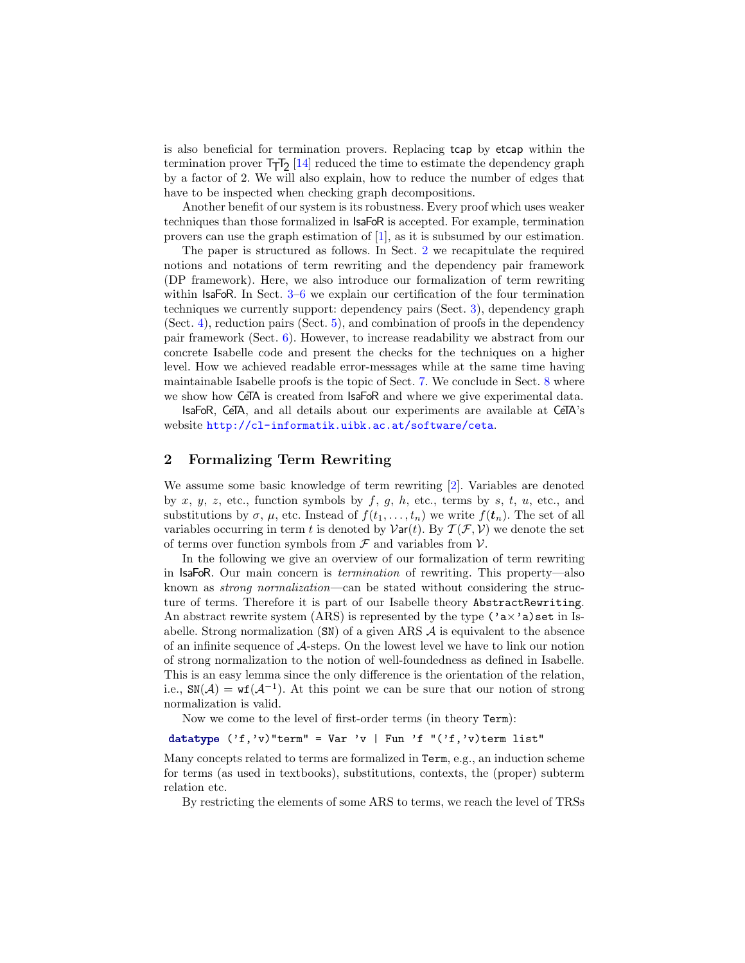is also beneficial for termination provers. Replacing tcap by etcap within the termination prover  $T_{\overline{1}}T_{2}$  [\[14\]](#page-15-9) reduced the time to estimate the dependency graph by a factor of 2. We will also explain, how to reduce the number of edges that have to be inspected when checking graph decompositions.

Another benefit of our system is its robustness. Every proof which uses weaker techniques than those formalized in IsaFoR is accepted. For example, termination provers can use the graph estimation of [\[1\]](#page-15-6), as it is subsumed by our estimation.

The paper is structured as follows. In Sect. [2](#page-2-0) we recapitulate the required notions and notations of term rewriting and the dependency pair framework (DP framework). Here, we also introduce our formalization of term rewriting within IsaFoR. In Sect. [3](#page-3-0)[–6](#page-12-0) we explain our certification of the four termination techniques we currently support: dependency pairs (Sect. [3\)](#page-3-0), dependency graph (Sect. [4\)](#page-5-0), reduction pairs (Sect. [5\)](#page-11-0), and combination of proofs in the dependency pair framework (Sect. [6\)](#page-12-0). However, to increase readability we abstract from our concrete Isabelle code and present the checks for the techniques on a higher level. How we achieved readable error-messages while at the same time having maintainable Isabelle proofs is the topic of Sect. [7.](#page-13-0) We conclude in Sect. [8](#page-14-0) where we show how CeTA is created from  $IsaFoR$  and where we give experimental data.

IsaFoR, CeTA, and all details about our experiments are available at CeTA's website <http://cl-informatik.uibk.ac.at/software/ceta>.

### <span id="page-2-0"></span>2 Formalizing Term Rewriting

We assume some basic knowledge of term rewriting [\[2\]](#page-15-10). Variables are denoted by  $x, y, z$ , etc., function symbols by  $f, g, h$ , etc., terms by  $s, t, u$ , etc., and substitutions by  $\sigma$ ,  $\mu$ , etc. Instead of  $f(t_1, \ldots, t_n)$  we write  $f(t_n)$ . The set of all variables occurring in term t is denoted by  $\mathcal{V}\text{ar}(t)$ . By  $\mathcal{T}(\mathcal{F}, \mathcal{V})$  we denote the set of terms over function symbols from  $\mathcal F$  and variables from  $\mathcal V$ .

In the following we give an overview of our formalization of term rewriting in IsaFoR. Our main concern is termination of rewriting. This property—also known as strong normalization—can be stated without considering the structure of terms. Therefore it is part of our Isabelle theory AbstractRewriting. An abstract rewrite system (ARS) is represented by the type  $(\lambda x, \lambda)$  set in Isabelle. Strong normalization  $(SN)$  of a given ARS  $\mathcal A$  is equivalent to the absence of an infinite sequence of A-steps. On the lowest level we have to link our notion of strong normalization to the notion of well-foundedness as defined in Isabelle. This is an easy lemma since the only difference is the orientation of the relation, i.e.,  $\text{SN}(\mathcal{A}) = \text{wf}(\mathcal{A}^{-1})$ . At this point we can be sure that our notion of strong normalization is valid.

Now we come to the level of first-order terms (in theory Term):

#### datatype  $('f,'v)$ "term" = Var 'v | Fun 'f " $('f,'v)$ term list"

Many concepts related to terms are formalized in Term, e.g., an induction scheme for terms (as used in textbooks), substitutions, contexts, the (proper) subterm relation etc.

By restricting the elements of some ARS to terms, we reach the level of TRSs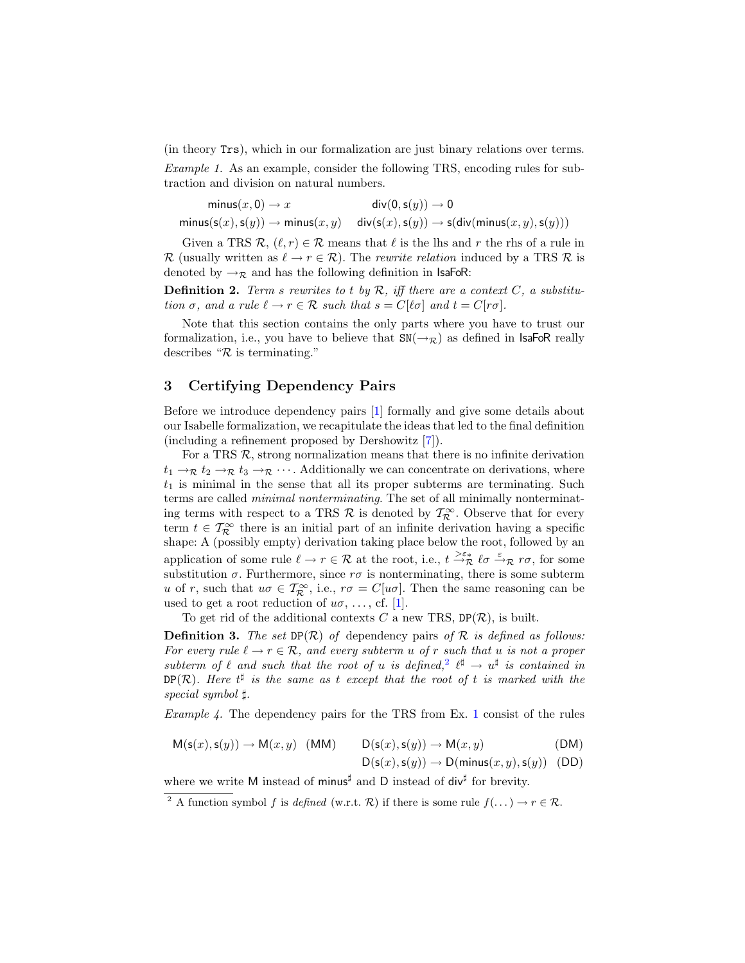(in theory Trs), which in our formalization are just binary relations over terms.

<span id="page-3-2"></span>Example 1. As an example, consider the following TRS, encoding rules for subtraction and division on natural numbers.

 $minus(x, 0) \rightarrow x$  div $(0, s(y)) \rightarrow 0$  $minus(s(x),s(y)) \rightarrow minus(x,y)$  div $(s(x),s(y)) \rightarrow s(div(minus(x,y),s(y)))$ 

Given a TRS  $\mathcal{R}, (\ell, r) \in \mathcal{R}$  means that  $\ell$  is the lhs and r the rhs of a rule in R (usually written as  $\ell \to r \in \mathcal{R}$ ). The *rewrite relation* induced by a TRS R is denoted by  $\rightarrow_{\mathcal{R}}$  and has the following definition in IsaFoR:

**Definition 2.** Term s rewrites to t by  $\mathcal{R}$ , iff there are a context  $C$ , a substitution  $\sigma$ , and a rule  $\ell \to r \in \mathcal{R}$  such that  $s = C[\ell \sigma]$  and  $t = C[r\sigma]$ .

Note that this section contains the only parts where you have to trust our formalization, i.e., you have to believe that  $SN(\rightarrow \mathcal{R})$  as defined in **IsaFoR** really describes " $R$  is terminating."

## <span id="page-3-0"></span>3 Certifying Dependency Pairs

Before we introduce dependency pairs [\[1\]](#page-15-6) formally and give some details about our Isabelle formalization, we recapitulate the ideas that led to the final definition (including a refinement proposed by Dershowitz [\[7\]](#page-15-11)).

For a TRS  $R$ , strong normalization means that there is no infinite derivation  $t_1 \rightarrow_{\mathcal{R}} t_2 \rightarrow_{\mathcal{R}} t_3 \rightarrow_{\mathcal{R}} \cdots$ . Additionally we can concentrate on derivations, where  $t_1$  is minimal in the sense that all its proper subterms are terminating. Such terms are called minimal nonterminating. The set of all minimally nonterminating terms with respect to a TRS  $\mathcal{R}$  is denoted by  $\mathcal{T}_{\mathcal{R}}^{\infty}$ . Observe that for every term  $t \in \mathcal{T}_{\mathcal{R}}^{\infty}$  there is an initial part of an infinite derivation having a specific shape: A (possibly empty) derivation taking place below the root, followed by an application of some rule  $\ell \to r \in \mathcal{R}$  at the root, i.e.,  $t \stackrel{\geq \varepsilon_*}{\to}_{\mathcal{R}} \ell \sigma \stackrel{\varepsilon}{\to}_{\mathcal{R}} r \sigma$ , for some substitution  $\sigma$ . Furthermore, since  $r\sigma$  is nonterminating, there is some subterm u of r, such that  $u\sigma \in \mathcal{T}_{\mathcal{R}}^{\infty}$ , i.e.,  $r\sigma = C[u\sigma]$ . Then the same reasoning can be used to get a root reduction of  $u\sigma$ , ..., cf. [\[1\]](#page-15-6).

To get rid of the additional contexts C a new TRS,  $DP(\mathcal{R})$ , is built.

**Definition 3.** The set  $DP(R)$  of dependency pairs of R is defined as follows: For every rule  $\ell \to r \in \mathcal{R}$ , and every subterm u of r such that u is not a proper subterm of  $\ell$  and such that the root of u is defined,<sup>[2](#page-3-1)</sup>  $\ell^{\sharp} \to u^{\sharp}$  is contained in  $\texttt{DP}(\mathcal{R})$ . Here  $t^{\sharp}$  is the same as t except that the root of t is marked with the special symbol  $\sharp$ .

Example 4. The dependency pairs for the TRS from Ex. [1](#page-3-2) consist of the rules

$$
\mathsf{M}(\mathsf{s}(x),\mathsf{s}(y)) \to \mathsf{M}(x,y) \quad (\mathsf{M}\mathsf{M}) \qquad \mathsf{D}(\mathsf{s}(x),\mathsf{s}(y)) \to \mathsf{M}(x,y) \tag{\mathsf{DM}}
$$

<span id="page-3-6"></span><span id="page-3-5"></span><span id="page-3-4"></span><span id="page-3-3"></span>
$$
D(s(x), s(y)) \to D(\min\{x, y), s(y)) \quad (DD)
$$

where we write M instead of minus<sup> $\sharp$ </sup> and D instead of div<sup> $\sharp$ </sup> for brevity.

<span id="page-3-1"></span><sup>&</sup>lt;sup>2</sup> A function symbol f is defined (w.r.t. R) if there is some rule  $f(\dots) \to r \in \mathcal{R}$ .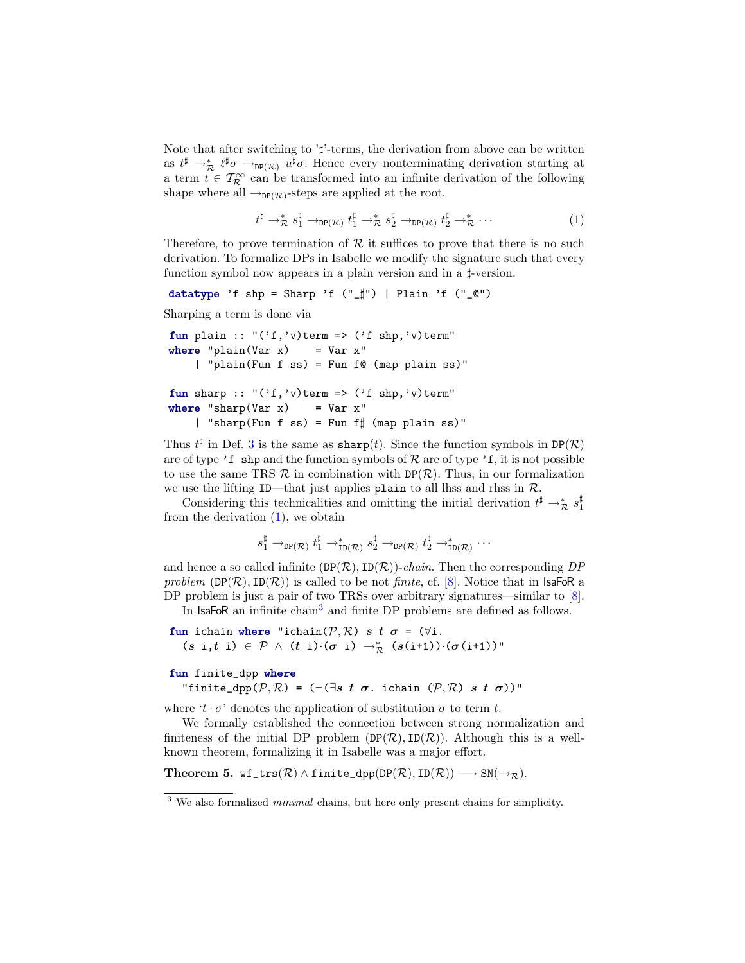Note that after switching to ' $\sharp$ '-terms, the derivation from above can be written as  $t^{\sharp} \to_{\mathcal{R}}^* \ell^{\sharp} \sigma \to_{\text{DP}(\mathcal{R})} u^{\sharp} \sigma$ . Hence every nonterminating derivation starting at a term  $t \in \mathcal{T}_{\mathcal{R}}^{\infty}$  can be transformed into an infinite derivation of the following shape where all  $\rightarrow_{\text{DP}(\mathcal{R})}$ -steps are applied at the root.

<span id="page-4-0"></span>
$$
t^{\sharp} \to_{\mathcal{R}}^* s_1^{\sharp} \to_{\mathrm{DP}(\mathcal{R})} t_1^{\sharp} \to_{\mathcal{R}}^* s_2^{\sharp} \to_{\mathrm{DP}(\mathcal{R})} t_2^{\sharp} \to_{\mathcal{R}}^* \cdots
$$
 (1)

Therefore, to prove termination of  $R$  it suffices to prove that there is no such derivation. To formalize DPs in Isabelle we modify the signature such that every function symbol now appears in a plain version and in a  $\sharp$ -version.

```
datatype 'f shp = Sharp 'f ("_1") | Plain 'f ("_0")
```
Sharping a term is done via

```
fun plain :: "('f,'v)term => ('f shp,'v)term"
where "plain(Var x) = Var x''| "plain(Fun f ss) = Fun f@ (map plain ss)"
fun sharp :: "('f,'v)term => ('f shp,'v)term"
where "sharp(Var x) = Var x"
    | "sharp(Fun f ss) = Fun f\sharp (map plain ss)"
```
Thus  $t^{\sharp}$  in Def. [3](#page-3-3) is the same as sharp(t). Since the function symbols in DP(R) are of type 'f shp and the function symbols of  $R$  are of type 'f, it is not possible to use the same TRS  $\mathcal R$  in combination with  $DP(\mathcal R)$ . Thus, in our formalization we use the lifting ID—that just applies plain to all lhss and rhss in  $\mathcal{R}$ .

Considering this technicalities and omitting the initial derivation  $t^{\sharp} \to_{\mathcal{R}}^* s_1^{\sharp}$ from the derivation  $(1)$ , we obtain

$$
s_1^{\sharp} \to_{\text{DP}(\mathcal{R})} t_1^{\sharp} \to_{\text{ID}(\mathcal{R})}^* s_2^{\sharp} \to_{\text{DP}(\mathcal{R})} t_2^{\sharp} \to_{\text{ID}(\mathcal{R})}^* \cdots
$$

and hence a so called infinite  $(DP(\mathcal{R}), ID(\mathcal{R}))$ -chain. Then the corresponding DP problem  $(DP(\mathcal{R}), ID(\mathcal{R}))$  is called to be not finite, cf. [\[8\]](#page-15-12). Notice that in IsaFoR a DP problem is just a pair of two TRSs over arbitrary signatures—similar to  $[8]$ .

In IsaFoR an infinite chain<sup>[3](#page-4-1)</sup> and finite DP problems are defined as follows.

```
fun ichain where "ichain(\mathcal{P}, \mathcal{R}) s t \sigma = (\forall i.
    (s i,t i) \in \mathcal{P} \wedge (t i) \cdot (\sigma i) \rightarrow_{\mathcal{R}}^* (s(i+1)) \cdot (\sigma(i+1))"
```
### fun finite\_dpp where "finite\_dpp( $P, R$ ) = (¬( $\exists s$   $t$   $\sigma$ . ichain ( $P, R$ )  $s$   $t$   $\sigma$ ))"

where ' $t \cdot \sigma$ ' denotes the application of substitution  $\sigma$  to term t.

We formally established the connection between strong normalization and finiteness of the initial DP problem  $(DP(\mathcal{R}), ID(\mathcal{R}))$ . Although this is a wellknown theorem, formalizing it in Isabelle was a major effort.

Theorem 5. wf\_trs( $\mathcal{R}) \wedge \text{finite\_dpp}(DP(\mathcal{R}), ID(\mathcal{R})) \longrightarrow SN(\rightarrow_{\mathcal{R}})$ .

<span id="page-4-1"></span><sup>&</sup>lt;sup>3</sup> We also formalized *minimal* chains, but here only present chains for simplicity.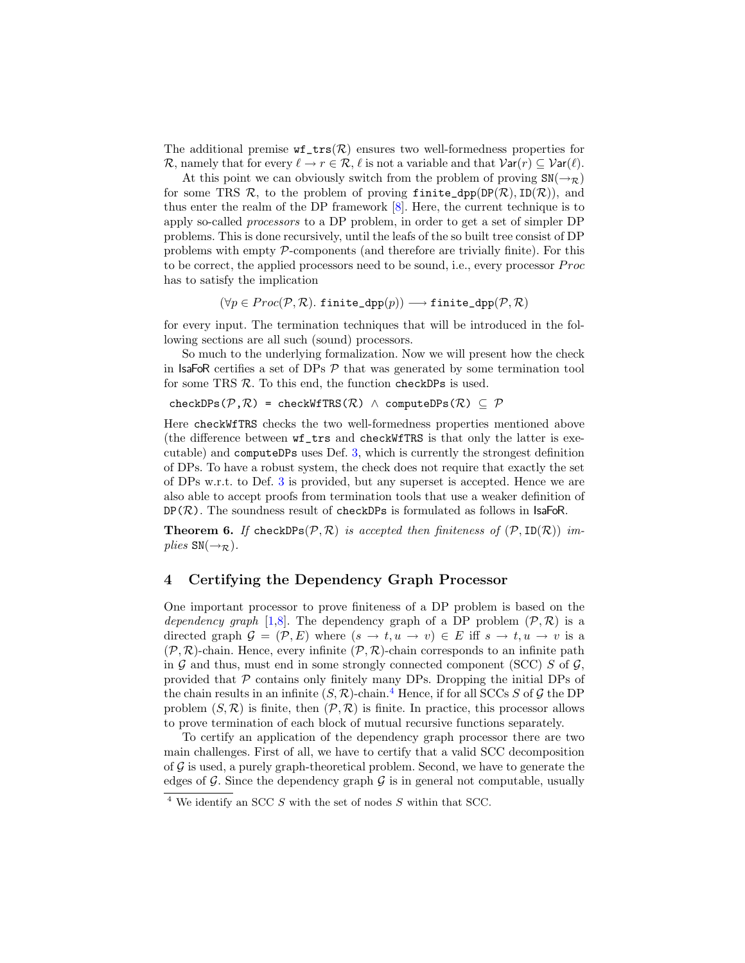The additional premise  $\text{wf\_trs}(\mathcal{R})$  ensures two well-formedness properties for R, namely that for every  $\ell \to r \in \mathcal{R}$ ,  $\ell$  is not a variable and that  $Var(r) \subseteq Var(\ell)$ .

At this point we can obviously switch from the problem of proving  $\text{SN}(\rightarrow_R)$ for some TRS  $\mathcal R$ , to the problem of proving finite\_dpp(DP( $\mathcal R$ ), ID( $\mathcal R$ )), and thus enter the realm of the DP framework [\[8\]](#page-15-12). Here, the current technique is to apply so-called processors to a DP problem, in order to get a set of simpler DP problems. This is done recursively, until the leafs of the so built tree consist of DP problems with empty  $\mathcal{P}$ -components (and therefore are trivially finite). For this to be correct, the applied processors need to be sound, i.e., every processor *Proc* has to satisfy the implication

$$
(\forall p \in \text{Proc}(\mathcal{P}, \mathcal{R}). \text{ finite\_dpp}(p)) \longrightarrow \text{finite\_dpp}(\mathcal{P}, \mathcal{R})
$$

for every input. The termination techniques that will be introduced in the following sections are all such (sound) processors.

So much to the underlying formalization. Now we will present how the check in IsaFoR certifies a set of DPs  $P$  that was generated by some termination tool for some TRS  $R$ . To this end, the function checkDPs is used.

checkDPs( $\mathcal{P}, \mathcal{R}$ ) = checkWfTRS( $\mathcal{R}$ )  $\wedge$  computeDPs( $\mathcal{R}$ )  $\subset \mathcal{P}$ 

Here checkWfTRS checks the two well-formedness properties mentioned above (the difference between wf\_trs and checkWfTRS is that only the latter is executable) and computeDPs uses Def. [3,](#page-3-3) which is currently the strongest definition of DPs. To have a robust system, the check does not require that exactly the set of DPs w.r.t. to Def. [3](#page-3-3) is provided, but any superset is accepted. Hence we are also able to accept proofs from termination tools that use a weaker definition of  $DP(\mathcal{R})$ . The soundness result of checkDPs is formulated as follows in IsaFoR.

**Theorem 6.** If checkDPs( $P, R$ ) is accepted then finiteness of ( $P, ID(R)$ ) implies  $\text{SN}(\rightarrow_R)$ .

### <span id="page-5-0"></span>4 Certifying the Dependency Graph Processor

One important processor to prove finiteness of a DP problem is based on the dependency graph [\[1](#page-15-6)[,8\]](#page-15-12). The dependency graph of a DP problem  $(\mathcal{P}, \mathcal{R})$  is a directed graph  $\mathcal{G} = (\mathcal{P}, E)$  where  $(s \to t, u \to v) \in E$  iff  $s \to t, u \to v$  is a  $(\mathcal{P}, \mathcal{R})$ -chain. Hence, every infinite  $(\mathcal{P}, \mathcal{R})$ -chain corresponds to an infinite path in G and thus, must end in some strongly connected component (SCC)  $S$  of  $G$ , provided that  $P$  contains only finitely many DPs. Dropping the initial DPs of the chain results in an infinite  $(S, \mathcal{R})$ -chain.<sup>[4](#page-5-1)</sup> Hence, if for all SCCs S of G the DP problem  $(S, \mathcal{R})$  is finite, then  $(\mathcal{P}, \mathcal{R})$  is finite. In practice, this processor allows to prove termination of each block of mutual recursive functions separately.

To certify an application of the dependency graph processor there are two main challenges. First of all, we have to certify that a valid SCC decomposition of  $\mathcal G$  is used, a purely graph-theoretical problem. Second, we have to generate the edges of  $\mathcal G$ . Since the dependency graph  $\mathcal G$  is in general not computable, usually

<span id="page-5-1"></span> $4$  We identify an SCC S with the set of nodes S within that SCC.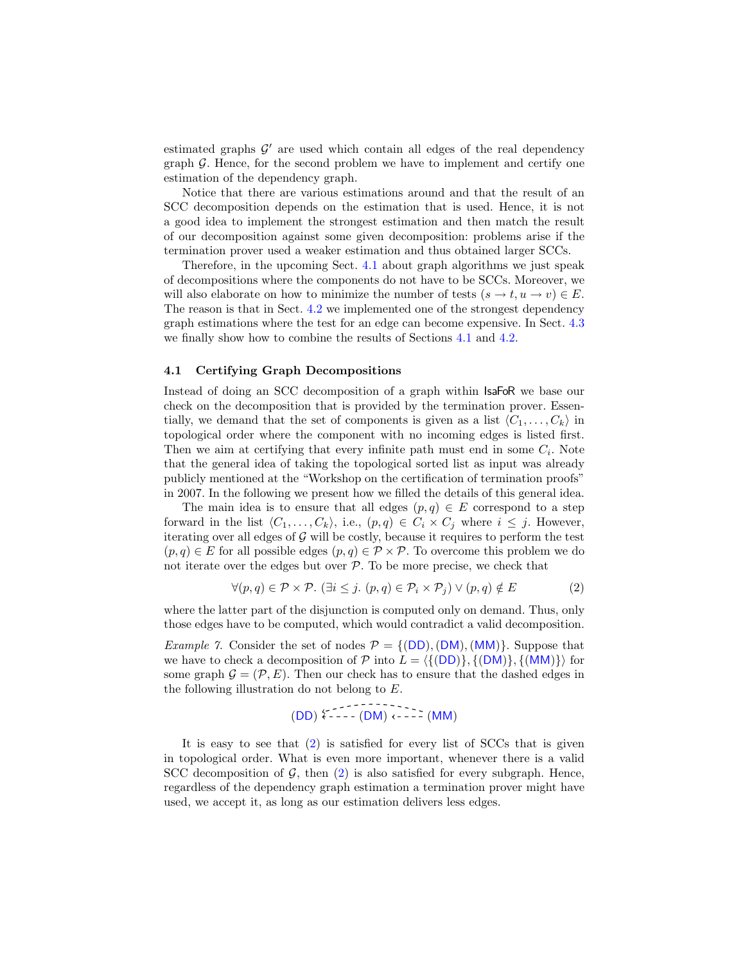estimated graphs  $G'$  are used which contain all edges of the real dependency graph  $\mathcal G$ . Hence, for the second problem we have to implement and certify one estimation of the dependency graph.

Notice that there are various estimations around and that the result of an SCC decomposition depends on the estimation that is used. Hence, it is not a good idea to implement the strongest estimation and then match the result of our decomposition against some given decomposition: problems arise if the termination prover used a weaker estimation and thus obtained larger SCCs.

Therefore, in the upcoming Sect. [4.1](#page-6-0) about graph algorithms we just speak of decompositions where the components do not have to be SCCs. Moreover, we will also elaborate on how to minimize the number of tests  $(s \to t, u \to v) \in E$ . The reason is that in Sect. [4.2](#page-7-0) we implemented one of the strongest dependency graph estimations where the test for an edge can become expensive. In Sect. [4.3](#page-10-0) we finally show how to combine the results of Sections [4.1](#page-6-0) and [4.2.](#page-7-0)

### <span id="page-6-0"></span>4.1 Certifying Graph Decompositions

Instead of doing an SCC decomposition of a graph within IsaFoR we base our check on the decomposition that is provided by the termination prover. Essentially, we demand that the set of components is given as a list  $\langle C_1, \ldots, C_k \rangle$  in topological order where the component with no incoming edges is listed first. Then we aim at certifying that every infinite path must end in some  $C_i$ . Note that the general idea of taking the topological sorted list as input was already publicly mentioned at the "Workshop on the certification of termination proofs" in 2007. In the following we present how we filled the details of this general idea.

The main idea is to ensure that all edges  $(p, q) \in E$  correspond to a step forward in the list  $\langle C_1, \ldots, C_k \rangle$ , i.e.,  $(p, q) \in C_i \times C_j$  where  $i \leq j$ . However, iterating over all edges of  $G$  will be costly, because it requires to perform the test  $(p, q) \in E$  for all possible edges  $(p, q) \in \mathcal{P} \times \mathcal{P}$ . To overcome this problem we do not iterate over the edges but over  $P$ . To be more precise, we check that

<span id="page-6-1"></span>
$$
\forall (p,q) \in \mathcal{P} \times \mathcal{P}. \ (\exists i \leq j. \ (p,q) \in \mathcal{P}_i \times \mathcal{P}_j) \lor (p,q) \notin E \tag{2}
$$

where the latter part of the disjunction is computed only on demand. Thus, only those edges have to be computed, which would contradict a valid decomposition.

<span id="page-6-2"></span>*Example 7.* Consider the set of nodes  $\mathcal{P} = \{(\text{DD}), (\text{DM}), (\text{MM})\}$  $\mathcal{P} = \{(\text{DD}), (\text{DM}), (\text{MM})\}$  $\mathcal{P} = \{(\text{DD}), (\text{DM}), (\text{MM})\}$  $\mathcal{P} = \{(\text{DD}), (\text{DM}), (\text{MM})\}$  $\mathcal{P} = \{(\text{DD}), (\text{DM}), (\text{MM})\}$  $\mathcal{P} = \{(\text{DD}), (\text{DM}), (\text{MM})\}$  $\mathcal{P} = \{(\text{DD}), (\text{DM}), (\text{MM})\}$ . Suppose that we have to check a decomposition of P into  $L = \langle \{(\text{DD})\}, \{(\text{DM})\}, \{(\text{MM})\}\rangle$  $L = \langle \{(\text{DD})\}, \{(\text{DM})\}, \{(\text{MM})\}\rangle$  $L = \langle \{(\text{DD})\}, \{(\text{DM})\}, \{(\text{MM})\}\rangle$  $L = \langle \{(\text{DD})\}, \{(\text{DM})\}, \{(\text{MM})\}\rangle$  $L = \langle \{(\text{DD})\}, \{(\text{DM})\}, \{(\text{MM})\}\rangle$  $L = \langle \{(\text{DD})\}, \{(\text{DM})\}, \{(\text{MM})\}\rangle$  $L = \langle \{(\text{DD})\}, \{(\text{DM})\}, \{(\text{MM})\}\rangle$  for some graph  $\mathcal{G} = (\mathcal{P}, E)$ . Then our check has to ensure that the dashed edges in the following illustration do not belong to E.

(DD) 
$$
\xi
$$
 --- (DM)  $\xi$  --- (MM)

It is easy to see that  $(2)$  is satisfied for every list of SCCs that is given in topological order. What is even more important, whenever there is a valid SCC decomposition of  $\mathcal{G}$ , then [\(2\)](#page-6-1) is also satisfied for every subgraph. Hence, regardless of the dependency graph estimation a termination prover might have used, we accept it, as long as our estimation delivers less edges.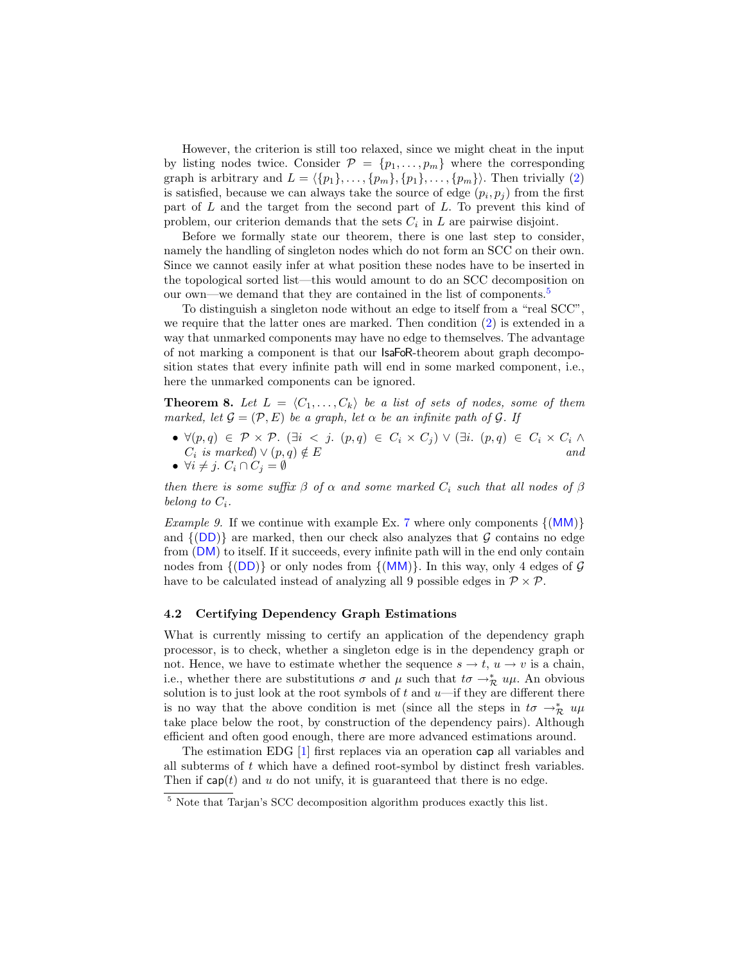However, the criterion is still too relaxed, since we might cheat in the input by listing nodes twice. Consider  $\mathcal{P} = \{p_1, \ldots, p_m\}$  where the corresponding graph is arbitrary and  $L = \langle \{p_1\}, \ldots, \{p_m\}, \{p_1\}, \ldots, \{p_m\}\rangle$ . Then trivially [\(2\)](#page-6-1) is satisfied, because we can always take the source of edge  $(p_i, p_j)$  from the first part of  $L$  and the target from the second part of  $L$ . To prevent this kind of problem, our criterion demands that the sets  $C_i$  in  $L$  are pairwise disjoint.

Before we formally state our theorem, there is one last step to consider, namely the handling of singleton nodes which do not form an SCC on their own. Since we cannot easily infer at what position these nodes have to be inserted in the topological sorted list—this would amount to do an SCC decomposition on our own—we demand that they are contained in the list of components.<sup>[5](#page-7-1)</sup>

To distinguish a singleton node without an edge to itself from a "real SCC", we require that the latter ones are marked. Then condition [\(2\)](#page-6-1) is extended in a way that unmarked components may have no edge to themselves. The advantage of not marking a component is that our IsaFoR-theorem about graph decomposition states that every infinite path will end in some marked component, i.e., here the unmarked components can be ignored.

**Theorem 8.** Let  $L = \langle C_1, \ldots, C_k \rangle$  be a list of sets of nodes, some of them marked, let  $\mathcal{G} = (\mathcal{P}, E)$  be a graph, let  $\alpha$  be an infinite path of  $\mathcal{G}$ . If

- $\forall (p,q) \in \mathcal{P} \times \mathcal{P}$ .  $(\exists i \leq j. (p,q) \in C_i \times C_j) \vee (\exists i. (p,q) \in C_i \times C_i \wedge C_j)$  $C_i$  is marked)  $\vee$   $(p, q) \notin E$  and
- $\forall i \neq j$ .  $C_i \cap C_j = \emptyset$

then there is some suffix  $\beta$  of  $\alpha$  and some marked  $C_i$  such that all nodes of  $\beta$ belong to  $C_i$ .

*Example 9.* If we continue with example Ex. [7](#page-6-2) where only components  $\{(MM)\}$  $\{(MM)\}$  $\{(MM)\}$ and  $\{(\text{DD})\}$  $\{(\text{DD})\}$  $\{(\text{DD})\}$  are marked, then our check also analyzes that G contains no edge from ([DM](#page-3-5)) to itself. If it succeeds, every infinite path will in the end only contain nodes from  $\{(\text{DD})\}$  $\{(\text{DD})\}$  $\{(\text{DD})\}$  or only nodes from  $\{(\text{MM})\}$  $\{(\text{MM})\}$  $\{(\text{MM})\}$ . In this way, only 4 edges of G have to be calculated instead of analyzing all 9 possible edges in  $\mathcal{P} \times \mathcal{P}$ .

#### <span id="page-7-0"></span>4.2 Certifying Dependency Graph Estimations

What is currently missing to certify an application of the dependency graph processor, is to check, whether a singleton edge is in the dependency graph or not. Hence, we have to estimate whether the sequence  $s \to t$ ,  $u \to v$  is a chain, i.e., whether there are substitutions  $\sigma$  and  $\mu$  such that  $t\sigma \rightarrow_{\mathcal{R}}^* u\mu$ . An obvious solution is to just look at the root symbols of  $t$  and  $u$ —if they are different there is no way that the above condition is met (since all the steps in  $t\sigma \rightarrow_{\mathcal{R}}^* u\mu$ take place below the root, by construction of the dependency pairs). Although efficient and often good enough, there are more advanced estimations around.

The estimation EDG [\[1\]](#page-15-6) first replaces via an operation cap all variables and all subterms of  $t$  which have a defined root-symbol by distinct fresh variables. Then if  $cap(t)$  and u do not unify, it is guaranteed that there is no edge.

<span id="page-7-1"></span><sup>5</sup> Note that Tarjan's SCC decomposition algorithm produces exactly this list.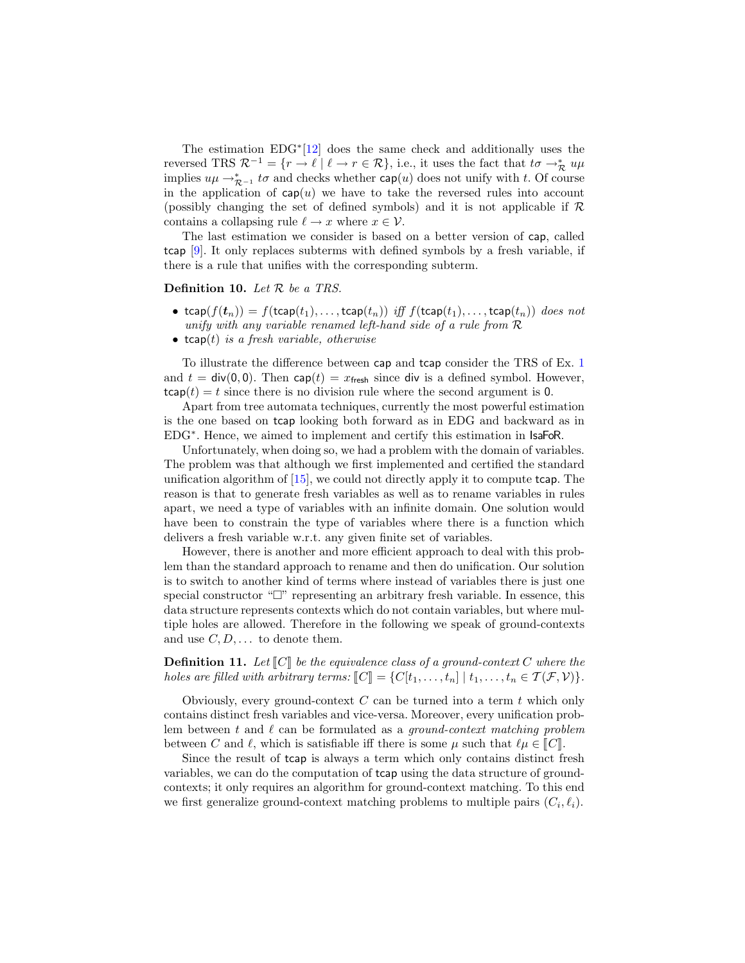The estimation EDG<sup>∗</sup> [\[12\]](#page-15-8) does the same check and additionally uses the reversed TRS  $\mathcal{R}^{-1} = \{r \to \ell \mid \ell \to r \in \mathcal{R}\},\$ i.e., it uses the fact that  $t\sigma \to_{\mathcal{R}}^* u\mu$ implies  $u\mu \rightarrow_{\mathcal{R}^{-1}}^* t\sigma$  and checks whether  $\mathsf{cap}(u)$  does not unify with t. Of course in the application of  $cap(u)$  we have to take the reversed rules into account (possibly changing the set of defined symbols) and it is not applicable if  $\mathcal R$ contains a collapsing rule  $\ell \to x$  where  $x \in \mathcal{V}$ .

The last estimation we consider is based on a better version of cap, called tcap [\[9\]](#page-15-7). It only replaces subterms with defined symbols by a fresh variable, if there is a rule that unifies with the corresponding subterm.

#### Definition 10. Let  $\mathcal R$  be a TRS.

- tcap $(f(t_n)) = f(\text{tcap}(t_1), \ldots, \text{tcap}(t_n))$  iff  $f(\text{tcap}(t_1), \ldots, \text{tcap}(t_n))$  does not unify with any variable renamed left-hand side of a rule from R
- tcap(t) is a fresh variable, otherwise

To illustrate the difference between cap and tcap consider the TRS of Ex. [1](#page-3-2) and  $t = \text{div}(0, 0)$ . Then  $\text{cap}(t) = x_{\text{fresh}}$  since div is a defined symbol. However,  $\text{tcap}(t) = t$  since there is no division rule where the second argument is 0.

Apart from tree automata techniques, currently the most powerful estimation is the one based on tcap looking both forward as in EDG and backward as in EDG<sup>∗</sup> . Hence, we aimed to implement and certify this estimation in IsaFoR.

Unfortunately, when doing so, we had a problem with the domain of variables. The problem was that although we first implemented and certified the standard unification algorithm of  $[15]$ , we could not directly apply it to compute tcap. The reason is that to generate fresh variables as well as to rename variables in rules apart, we need a type of variables with an infinite domain. One solution would have been to constrain the type of variables where there is a function which delivers a fresh variable w.r.t. any given finite set of variables.

However, there is another and more efficient approach to deal with this problem than the standard approach to rename and then do unification. Our solution is to switch to another kind of terms where instead of variables there is just one special constructor " $\Box$ " representing an arbitrary fresh variable. In essence, this data structure represents contexts which do not contain variables, but where multiple holes are allowed. Therefore in the following we speak of ground-contexts and use  $C, D, \ldots$  to denote them.

**Definition 11.** Let  $\llbracket C \rrbracket$  be the equivalence class of a ground-context C where the holes are filled with arbitrary terms:  $\llbracket C \rrbracket = \{C[t_1, \ldots, t_n] \mid t_1, \ldots, t_n \in T(\mathcal{F}, \mathcal{V})\}.$ 

Obviously, every ground-context  $C$  can be turned into a term  $t$  which only contains distinct fresh variables and vice-versa. Moreover, every unification problem between t and  $\ell$  can be formulated as a ground-context matching problem between C and  $\ell$ , which is satisfiable iff there is some  $\mu$  such that  $\ell\mu \in \llbracket C \rrbracket$ .

Since the result of tcap is always a term which only contains distinct fresh variables, we can do the computation of tcap using the data structure of groundcontexts; it only requires an algorithm for ground-context matching. To this end we first generalize ground-context matching problems to multiple pairs  $(C_i, \ell_i)$ .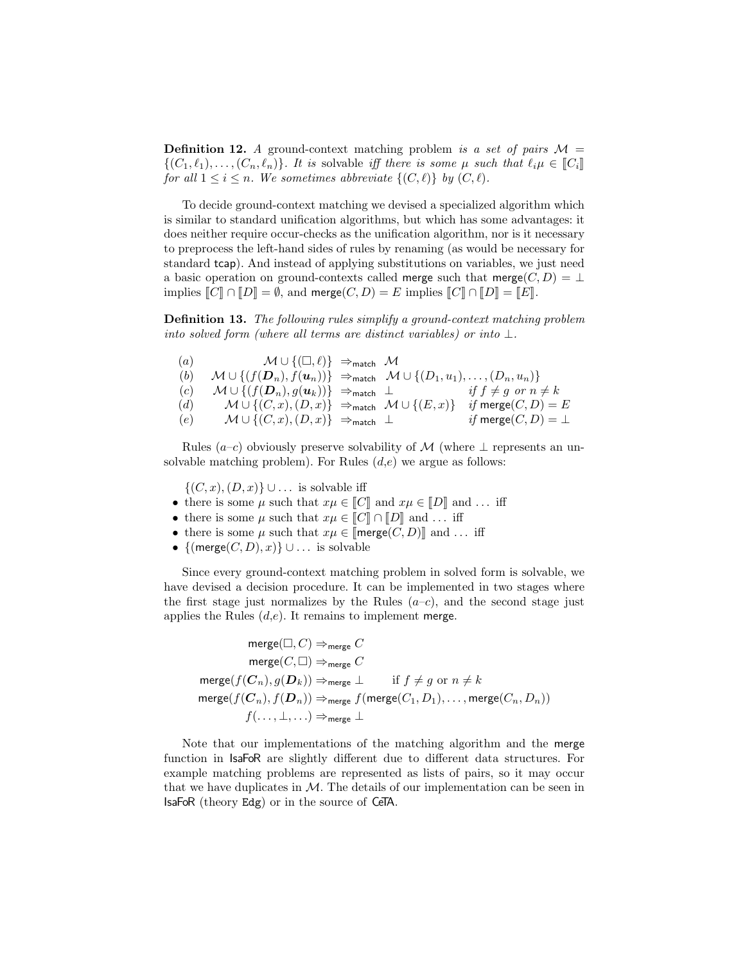**Definition 12.** A ground-context matching problem is a set of pairs  $\mathcal{M} =$  $\{(C_1, \ell_1), \ldots, (C_n, \ell_n)\}\.$  It is solvable iff there is some  $\mu$  such that  $\ell_i\mu \in \llbracket C_i \rrbracket$ for all  $1 \leq i \leq n$ . We sometimes abbreviate  $\{(C, \ell)\}\$  by  $(C, \ell)$ .

To decide ground-context matching we devised a specialized algorithm which is similar to standard unification algorithms, but which has some advantages: it does neither require occur-checks as the unification algorithm, nor is it necessary to preprocess the left-hand sides of rules by renaming (as would be necessary for standard tcap). And instead of applying substitutions on variables, we just need a basic operation on ground-contexts called merge such that merge $(C, D) = \perp$ implies  $\llbracket C \rrbracket \cap \llbracket D \rrbracket = \emptyset$ , and merge $(C, D) = E$  implies  $\llbracket C \rrbracket \cap \llbracket D \rrbracket = \llbracket E \rrbracket$ .

Definition 13. The following rules simplify a ground-context matching problem into solved form (where all terms are distinct variables) or into  $\bot$ .

$$
\begin{array}{ll} (a) & \mathcal{M} \cup \{ (\square, \ell) \} \Rightarrow_{\mathsf{match}} \mathcal{M} \\ (b) & \mathcal{M} \cup \{ (f(\mathcal{D}_n), f(\mathbf{u}_n)) \} \Rightarrow_{\mathsf{match}} \mathcal{M} \cup \{ (D_1, u_1), \ldots, (D_n, u_n) \} \\ (c) & \mathcal{M} \cup \{ (f(\mathcal{D}_n), g(\mathbf{u}_k)) \} \Rightarrow_{\mathsf{match}} \bot & \textit{if $f \neq g$ or $n \neq k$} \\ (d) & \mathcal{M} \cup \{ (C,x), (D,x) \} \Rightarrow_{\mathsf{match}} \mathcal{M} \cup \{ (E,x) \} & \textit{if $\mathsf{merge}(C,D) = E$} \\ (e) & \mathcal{M} \cup \{ (C,x), (D,x) \} \Rightarrow_{\mathsf{match}} \bot & \textit{if $\mathsf{merge}(C,D) = \bot$} \end{array}
$$

Rules (a–c) obviously preserve solvability of M (where  $\perp$  represents an unsolvable matching problem). For Rules  $(d,e)$  we argue as follows:

 $\{(C, x), (D, x)\}\cup \ldots$  is solvable iff

- there is some  $\mu$  such that  $x\mu \in \llbracket C \rrbracket$  and  $x\mu \in \llbracket D \rrbracket$  and ... iff
- there is some  $\mu$  such that  $x\mu \in \llbracket C \rrbracket \cap \llbracket D \rrbracket$  and ... iff
- there is some  $\mu$  such that  $x\mu \in [\text{merge}(C, D)]$  and ... iff
- { $(\text{merge}(C, D), x)$ } ∪ ... is solvable

Since every ground-context matching problem in solved form is solvable, we have devised a decision procedure. It can be implemented in two stages where the first stage just normalizes by the Rules  $(a-c)$ , and the second stage just applies the Rules  $(d,e)$ . It remains to implement merge.

$$
\begin{aligned} \text{merge}(\square,C) &\Rightarrow_{\text{merge}} C \\ &\qquad \qquad \text{merge}(C,\square) \Rightarrow_{\text{merge}} C \\ &\qquad \qquad \text{merge}(f(\mathcal{C}_n),g(\mathcal{D}_k)) \Rightarrow_{\text{merge}} \bot \\ &\qquad \qquad \text{if } f \neq g \text{ or } n \neq k \\ &\qquad \qquad \text{merge}(f(\mathcal{C}_n),f(\mathcal{D}_n)) \Rightarrow_{\text{merge}} f(\text{merge}(C_1,D_1),\ldots,\text{merge}(C_n,D_n)) \\ &\qquad \qquad f(\ldots,\bot,\ldots) \Rightarrow_{\text{merge}} \bot \end{aligned}
$$

Note that our implementations of the matching algorithm and the merge function in IsaFoR are slightly different due to different data structures. For example matching problems are represented as lists of pairs, so it may occur that we have duplicates in  $M$ . The details of our implementation can be seen in IsaFoR (theory Edg) or in the source of CeTA.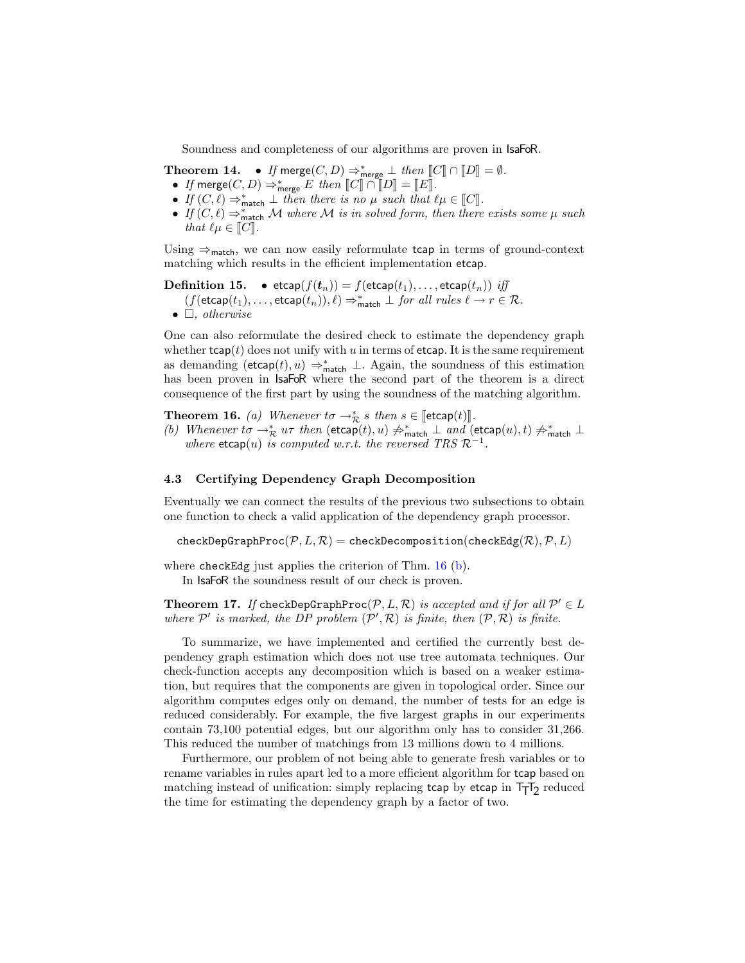Soundness and completeness of our algorithms are proven in IsaFoR.

**Theorem 14.** • If merge $(C, D) \Rightarrow_{\text{merge}}^* E$  then  $[[C]] \cap [[D]] = [[E]]$ .<br>• If  $(C, \ell) \Rightarrow_{\text{match}}^* \perp$  then there is no  $\mu$  such that  $\ell \mu \in [[C]]$ .<br>• If  $(C, \ell) \Rightarrow_{\text{match}}^* \perp M$  where  $M$  is in solved form, then there exist

- 
- 
- If  $(C, \ell) \Rightarrow_{\text{match}}^* M$  where M is in solved form, then there exists some  $\mu$  such that  $\ell \mu \in \llbracket C \rrbracket$ .

Using ⇒match, we can now easily reformulate tcap in terms of ground-context matching which results in the efficient implementation etcap.

**Definition 15.** • etcap $(f(t_n)) = f(\text{etcap}(t_1), \ldots, \text{etcap}(t_n))$  iff  $(f(\mathsf{etcap}(t_1), \ldots, \mathsf{etcap}(t_n)), \ell) \Rightarrow^*_{\mathsf{match}} \bot \textit{for all rules } \ell \to r \in \mathcal{R}.$  $\bullet \Box$ , otherwise

One can also reformulate the desired check to estimate the dependency graph whether  $\text{tcap}(t)$  does not unify with u in terms of etcap. It is the same requirement as demanding  $(\text{etcap}(t), u) \Rightarrow_{\text{match}}^* \bot$ . Again, the soundness of this estimation has been proven in  $IsaFoR$  where the second part of the theorem is a direct consequence of the first part by using the soundness of the matching algorithm.

<span id="page-10-2"></span><span id="page-10-1"></span>**Theorem 16.** (a) Whenever  $t\sigma \to_{\mathcal{R}}^* s$  then  $s \in [\text{etcap}(t)]$ .<br>
(b) Whenever  $t\sigma \to_{\mathcal{R}}^* u\tau$  then  $(\text{etcap}(t), u) \nleftrightarrow_{\text{match}}^* \bot$  and  $(\text{etcap}(u), t) \nleftrightarrow_{\text{match}}^* \bot$ where etcap(u) is computed w.r.t. the reversed TRS  $\mathcal{R}^{-1}$ .

#### <span id="page-10-0"></span>4.3 Certifying Dependency Graph Decomposition

Eventually we can connect the results of the previous two subsections to obtain one function to check a valid application of the dependency graph processor.

checkDepGraphProc $(\mathcal{P}, L, \mathcal{R}) =$ checkDecomposition(checkEdg $(\mathcal{R}), \mathcal{P}, L$ )

where checkEdg just applies the criterion of Thm. [16](#page-10-1) [\(b\)](#page-10-2).

In IsaFoR the soundness result of our check is proven.

**Theorem 17.** If checkDepGraphProc $(\mathcal{P}, L, \mathcal{R})$  is accepted and if for all  $\mathcal{P}' \in L$ where  $\mathcal{P}'$  is marked, the DP problem  $(\mathcal{P}', \mathcal{R})$  is finite, then  $(\mathcal{P}, \mathcal{R})$  is finite.

To summarize, we have implemented and certified the currently best dependency graph estimation which does not use tree automata techniques. Our check-function accepts any decomposition which is based on a weaker estimation, but requires that the components are given in topological order. Since our algorithm computes edges only on demand, the number of tests for an edge is reduced considerably. For example, the five largest graphs in our experiments contain 73,100 potential edges, but our algorithm only has to consider 31,266. This reduced the number of matchings from 13 millions down to 4 millions.

Furthermore, our problem of not being able to generate fresh variables or to rename variables in rules apart led to a more efficient algorithm for tcap based on matching instead of unification: simply replacing  $\mathsf{tcap}$  by  $\mathsf{etcap}$  in  $\mathsf{T}_\mathsf{T}\mathsf{T}_2$  reduced the time for estimating the dependency graph by a factor of two.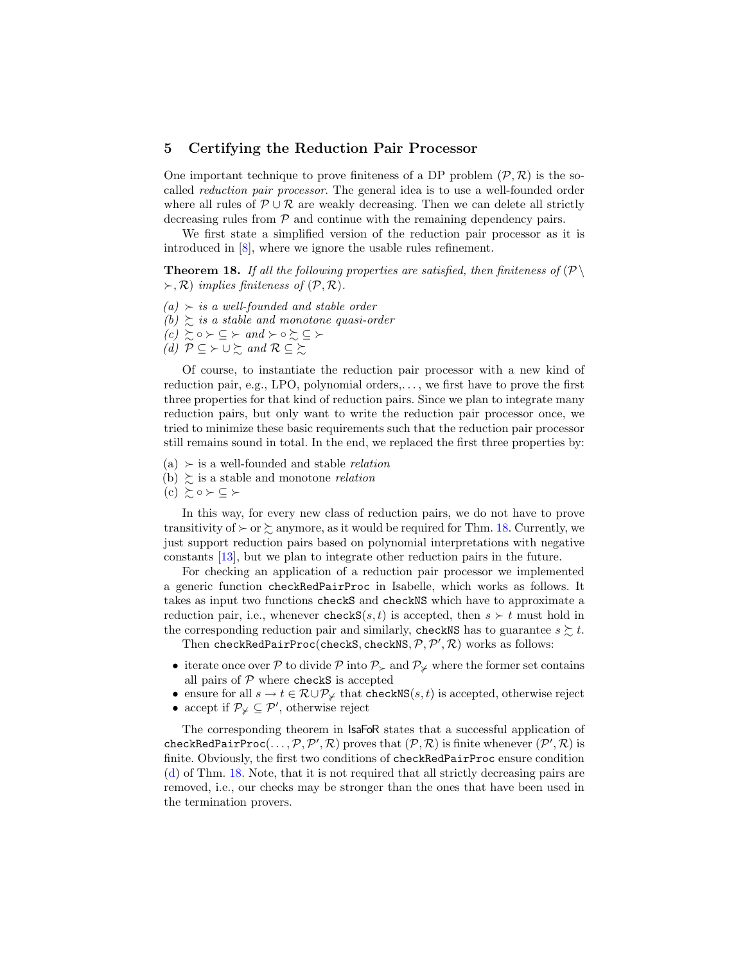### <span id="page-11-0"></span>5 Certifying the Reduction Pair Processor

One important technique to prove finiteness of a DP problem  $(\mathcal{P}, \mathcal{R})$  is the socalled reduction pair processor. The general idea is to use a well-founded order where all rules of  $\mathcal{P} \cup \mathcal{R}$  are weakly decreasing. Then we can delete all strictly decreasing rules from  $P$  and continue with the remaining dependency pairs.

We first state a simplified version of the reduction pair processor as it is introduced in [\[8\]](#page-15-12), where we ignore the usable rules refinement.

<span id="page-11-1"></span>**Theorem 18.** If all the following properties are satisfied, then finiteness of  $(\mathcal{P} \setminus \mathcal{P})$  $\succ$ , R) implies finiteness of  $(\mathcal{P}, \mathcal{R})$ .

- $(a) \succ$  is a well-founded and stable order
- $(b) \succeq$  is a stable and monotone quasi-order
- $(c) \gtrsim \circ \succ \subseteq \succ$  and  $\succ \circ \succsim \subseteq \succ$
- <span id="page-11-2"></span>(d)  $\overline{P} \subseteq \succ \cup \succsim$  and  $\overline{\mathcal{R}} \subseteq \succsim$

Of course, to instantiate the reduction pair processor with a new kind of reduction pair, e.g., LPO, polynomial orders,. . . , we first have to prove the first three properties for that kind of reduction pairs. Since we plan to integrate many reduction pairs, but only want to write the reduction pair processor once, we tried to minimize these basic requirements such that the reduction pair processor still remains sound in total. In the end, we replaced the first three properties by:

- (a)  $\succ$  is a well-founded and stable *relation*
- (b)  $\geq$  is a stable and monotone *relation*
- (c)  $\succsim \circ \succ \subseteq \succ$

In this way, for every new class of reduction pairs, we do not have to prove transitivity of  $\succ$  or  $\succ$  anymore, as it would be required for Thm. [18.](#page-11-1) Currently, we just support reduction pairs based on polynomial interpretations with negative constants [\[13\]](#page-15-14), but we plan to integrate other reduction pairs in the future.

For checking an application of a reduction pair processor we implemented a generic function checkRedPairProc in Isabelle, which works as follows. It takes as input two functions checkS and checkNS which have to approximate a reduction pair, i.e., whenever checkS $(s, t)$  is accepted, then  $s \succ t$  must hold in the corresponding reduction pair and similarly, checkNS has to guarantee  $s \succeq t$ .

Then checkRedPairProc(checkS, checkNS,  $\mathcal{P}, \mathcal{P}', \mathcal{R}$ ) works as follows:

- iterate once over P to divide P into  $P_{\succ}$  and  $P_{\not\sim}$  where the former set contains all pairs of  $P$  where checkS is accepted
- ensure for all  $s \to t \in \mathcal{R} \cup \mathcal{P}_{\neq}$  that checkNS $(s, t)$  is accepted, otherwise reject
- accept if  $\mathcal{P}_{\neq} \subseteq \mathcal{P}'$ , otherwise reject

The corresponding theorem in IsaFoR states that a successful application of checkRedPairProc $(\ldots, \mathcal{P}, \mathcal{P}', \mathcal{R})$  proves that  $(\mathcal{P}, \mathcal{R})$  is finite whenever  $(\mathcal{P}', \mathcal{R})$  is finite. Obviously, the first two conditions of checkRedPairProc ensure condition [\(d\)](#page-11-2) of Thm. [18.](#page-11-1) Note, that it is not required that all strictly decreasing pairs are removed, i.e., our checks may be stronger than the ones that have been used in the termination provers.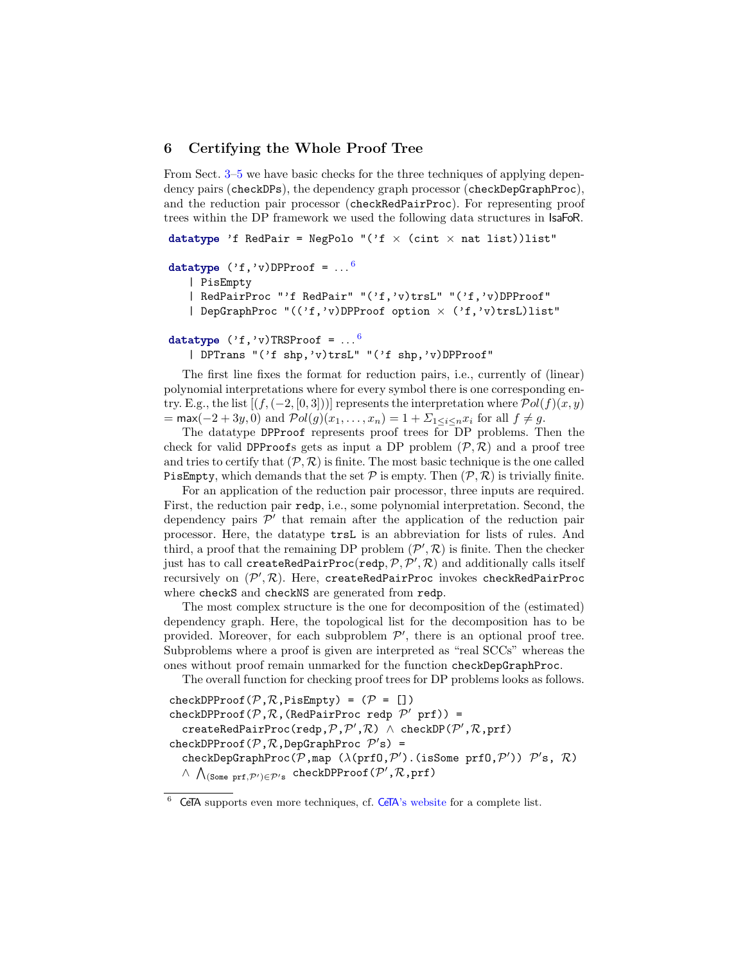### <span id="page-12-0"></span>6 Certifying the Whole Proof Tree

From Sect. [3–](#page-3-0)[5](#page-11-0) we have basic checks for the three techniques of applying dependency pairs (checkDPs), the dependency graph processor (checkDepGraphProc), and the reduction pair processor (checkRedPairProc). For representing proof trees within the DP framework we used the following data structures in IsaFoR.

```
datatype 'f RedPair = NegPolo "('f \times (cint \times nat list))list"
```

```
\mathtt{datatype} ('f,'v)DPProof = 6
```

```
| PisEmpty
```

```
| RedPairProc "'f RedPair" "('f,'v)trsL" "('f,'v)DPProof"
| DepGraphProc "(('f,'v)DPProof option \times ('f,'v)trsL)list"
```

```
\mathtt{datatype} ('f,'v)TRSProof = 6
```
| DPTrans "('f shp,'v)trsL" "('f shp,'v)DPProof"

The first line fixes the format for reduction pairs, i.e., currently of (linear) polynomial interpretations where for every symbol there is one corresponding entry. E.g., the list  $[(f,(-2, [0, 3]))]$  represents the interpretation where  $Pol(f)(x, y)$  $=$  max( $-2+3y, 0$ ) and  $\mathcal{P}ol(g)(x_1, ..., x_n) = 1 + \sum_{1 \le i \le n} x_i$  for all  $f \ne g$ .

The datatype DPProof represents proof trees for DP problems. Then the check for valid DPProofs gets as input a DP problem  $(\mathcal{P}, \mathcal{R})$  and a proof tree and tries to certify that  $(\mathcal{P}, \mathcal{R})$  is finite. The most basic technique is the one called PisEmpty, which demands that the set  $\mathcal P$  is empty. Then  $(\mathcal P, \mathcal R)$  is trivially finite.

For an application of the reduction pair processor, three inputs are required. First, the reduction pair redp, i.e., some polynomial interpretation. Second, the dependency pairs  $\mathcal{P}'$  that remain after the application of the reduction pair processor. Here, the datatype trsL is an abbreviation for lists of rules. And third, a proof that the remaining DP problem  $(\mathcal{P}', \mathcal{R})$  is finite. Then the checker just has to call createRedPairProc(redp,  $\mathcal{P}, \mathcal{P}', \mathcal{R}$ ) and additionally calls itself recursively on  $(\mathcal{P}', \mathcal{R})$ . Here, createRedPairProc invokes checkRedPairProc where checkS and checkNS are generated from redp.

The most complex structure is the one for decomposition of the (estimated) dependency graph. Here, the topological list for the decomposition has to be provided. Moreover, for each subproblem  $\mathcal{P}'$ , there is an optional proof tree. Subproblems where a proof is given are interpreted as "real SCCs" whereas the ones without proof remain unmarked for the function checkDepGraphProc.

The overall function for checking proof trees for DP problems looks as follows.

```
checkDPProof(P,R,PisEmpty) = (P = [])
checkDPProof(P, R, (RedPairProc redp P' prf)) =
   \mathtt{createRedPairProc}(\mathtt{redp},\mathcal{P},\mathcal{P}',\mathcal{R}) ~\wedge~ \mathtt{checkDP}(\mathcal{P}',\mathcal{R},\mathtt{prf})checkDPProof(P,R,DepGraphProc P's) =
   checkDepGraphProc(P, map (\lambda(prf0,P'). (isSome prf0,P')) P's, R)
   \land\ \bigwedge_{(\mathtt{Some\, prf}, \mathcal{P}')\in \mathcal{P}'\mathtt{s}}\ \mathtt{checkDPProof}\,(\mathcal{P}',\mathcal{R},\mathtt{prf})
```
<span id="page-12-1"></span> $6$  CeTA supports even more techniques, cf. CeTA['s website](http://cl-informatik.uibk.ac.at/software/ceta) for a complete list.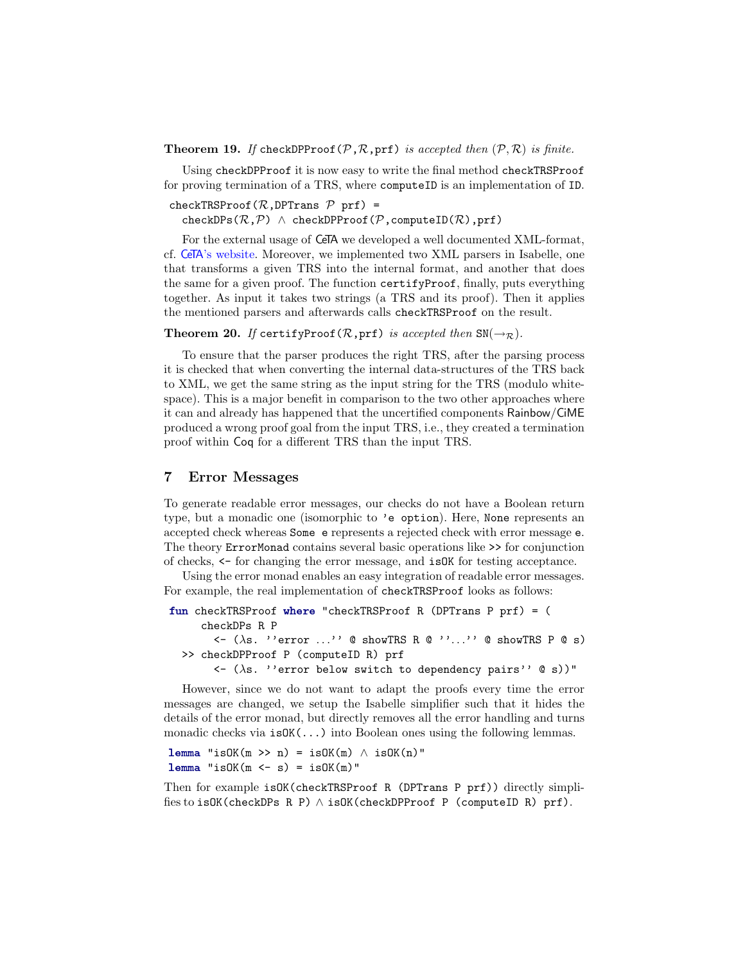**Theorem 19.** If checkDPProof  $(\mathcal{P}, \mathcal{R}, \text{prf})$  is accepted then  $(\mathcal{P}, \mathcal{R})$  is finite.

Using checkDPProof it is now easy to write the final method checkTRSProof for proving termination of a TRS, where computeID is an implementation of ID.

checkTRSProof( $R$ , DPTrans  $P$  prf) =

checkDPs $(\mathcal{R}, \mathcal{P}) \wedge$  checkDPProof $(\mathcal{P},$ computeID $(\mathcal{R}),$ prf)

For the external usage of CeTA we developed a well documented XML-format, cf. CeTA['s website.](http://cl-informatik.uibk.ac.at/software/ceta/input.php) Moreover, we implemented two XML parsers in Isabelle, one that transforms a given TRS into the internal format, and another that does the same for a given proof. The function certifyProof, finally, puts everything together. As input it takes two strings (a TRS and its proof). Then it applies the mentioned parsers and afterwards calls checkTRSProof on the result.

Theorem 20. If certifyProof( $\mathcal{R}$ , prf) is accepted then  $\text{SN}(\rightarrow_{\mathcal{R}})$ .

To ensure that the parser produces the right TRS, after the parsing process it is checked that when converting the internal data-structures of the TRS back to XML, we get the same string as the input string for the TRS (modulo whitespace). This is a major benefit in comparison to the two other approaches where it can and already has happened that the uncertified components Rainbow/CiME produced a wrong proof goal from the input TRS, i.e., they created a termination proof within Coq for a different TRS than the input TRS.

### <span id="page-13-0"></span>7 Error Messages

To generate readable error messages, our checks do not have a Boolean return type, but a monadic one (isomorphic to 'e option). Here, None represents an accepted check whereas Some e represents a rejected check with error message e. The theory ErrorMonad contains several basic operations like >> for conjunction of checks, <- for changing the error message, and isOK for testing acceptance.

Using the error monad enables an easy integration of readable error messages. For example, the real implementation of checkTRSProof looks as follows:

```
fun checkTRSProof where "checkTRSProof R (DPTrans P prf) = (
      checkDPs R P
         \left\langle \cdot \right\rangle (\lambdas. ''error ...'' @ showTRS R @ ''...'' @ showTRS P @ s)
  >> checkDPProof P (computeID R) prf
         \leftarrow (\lambdas. ''error below switch to dependency pairs'' \circ s))"
```
However, since we do not want to adapt the proofs every time the error messages are changed, we setup the Isabelle simplifier such that it hides the details of the error monad, but directly removes all the error handling and turns monadic checks via  $isOK(...)$  into Boolean ones using the following lemmas.

lemma "isOK $(m \gg n)$  = isOK $(m) \land$  isOK $(n)$ "  $l$ emma "isOK $(m \le s) = i$ sOK $(m)$ "

Then for example isOK(checkTRSProof R (DPTrans P prf)) directly simplifies to isOK(checkDPs R P) ∧ isOK(checkDPProof P (computeID R) prf).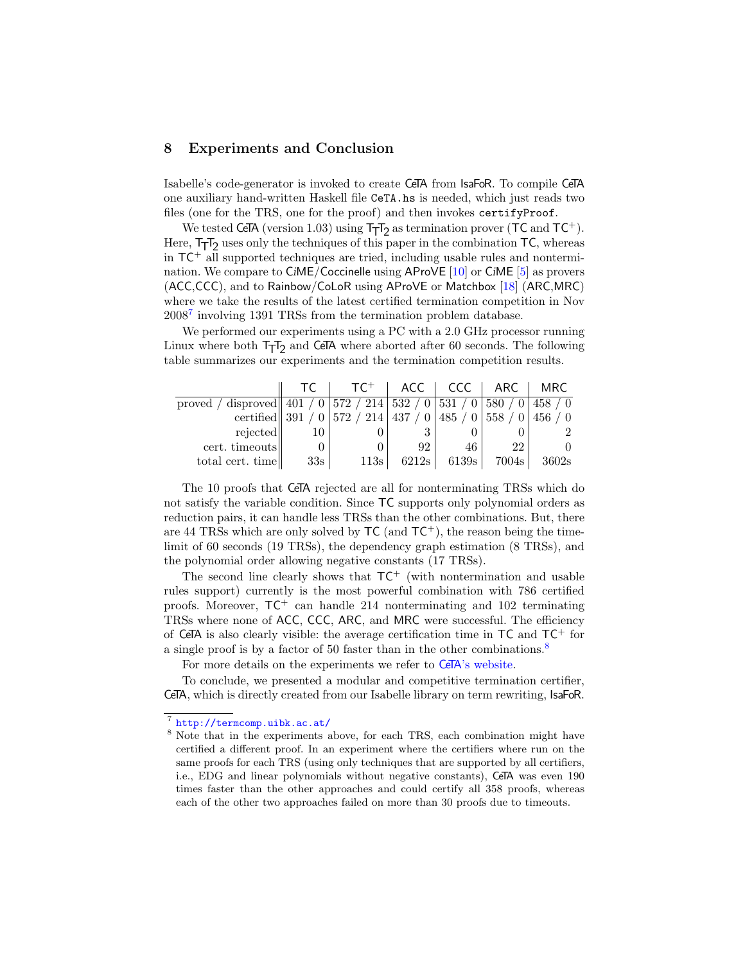### <span id="page-14-0"></span>8 Experiments and Conclusion

Isabelle's code-generator is invoked to create CeTA from IsaFoR. To compile CeTA one auxiliary hand-written Haskell file CeTA.hs is needed, which just reads two files (one for the TRS, one for the proof) and then invokes certifyProof.

We tested CeTA (version 1.03) using  $T_TT_2$  as termination prover (TC and TC<sup>+</sup>). Here,  $T_{\overline{1}}T_{2}$  uses only the techniques of this paper in the combination  $TC$ , whereas in  $TC^+$  all supported techniques are tried, including usable rules and nontermination. We compare to CiME/Coccinelle using AProVE [\[10\]](#page-15-15) or CiME [\[5\]](#page-15-16) as provers (ACC,CCC), and to Rainbow/CoLoR using AProVE or Matchbox [\[18\]](#page-15-17) (ARC,MRC) where we take the results of the latest certified termination competition in Nov 2008<sup>[7](#page-14-1)</sup> involving 1391 TRSs from the termination problem database.

We performed our experiments using a PC with a 2.0 GHz processor running Linux where both  $T_TT_2$  and CeTA where aborted after 60 seconds. The following table summarizes our experiments and the termination competition results.

|                                                                                   |     | $TC^+$                                                                | ACC   | CCC.  | ARC   | <b>MRC</b> |
|-----------------------------------------------------------------------------------|-----|-----------------------------------------------------------------------|-------|-------|-------|------------|
| proved / disproved    401 / 0   572 / 214   532 / 0   531 / 0   580 / 0   458 / 0 |     |                                                                       |       |       |       |            |
|                                                                                   |     | certified 391 / 0   572 / 214   437 / 0   485 / 0   558 / 0   456 / 0 |       |       |       |            |
| rejected                                                                          |     |                                                                       |       |       |       |            |
| cert. timeouts                                                                    |     |                                                                       | 92    | 46    | 22    |            |
| total cert. time                                                                  | 33s | 113s                                                                  | 6212s | 6139s | 7004s | 3602s      |

The 10 proofs that CeTA rejected are all for nonterminating TRSs which do not satisfy the variable condition. Since TC supports only polynomial orders as reduction pairs, it can handle less TRSs than the other combinations. But, there are 44 TRSs which are only solved by  $TC$  (and  $TC^+$ ), the reason being the timelimit of 60 seconds (19 TRSs), the dependency graph estimation (8 TRSs), and the polynomial order allowing negative constants (17 TRSs).

The second line clearly shows that  $TC^+$  (with nontermination and usable rules support) currently is the most powerful combination with 786 certified proofs. Moreover,  $TC^+$  can handle 214 nonterminating and 102 terminating TRSs where none of ACC, CCC, ARC, and MRC were successful. The efficiency of CeTA is also clearly visible: the average certification time in  $TC$  and  $TC^+$  for a single proof is by a factor of 50 faster than in the other combinations.<sup>[8](#page-14-2)</sup>

For more details on the experiments we refer to CeTA['s website.](http://cl-informatik.uibk.ac.at/software/ceta/results.php)

To conclude, we presented a modular and competitive termination certifier, CeTA, which is directly created from our Isabelle library on term rewriting, IsaFoR.

<span id="page-14-1"></span><sup>7</sup> [http://termcomp.uibk.ac.at/](http://termcomp.uibk.ac.at/termcomp/competition/competitionResults.seam?category=10235&competitionId=15991&cid=1959)

<span id="page-14-2"></span><sup>8</sup> Note that in the experiments above, for each TRS, each combination might have certified a different proof. In an experiment where the certifiers where run on the same proofs for each TRS (using only techniques that are supported by all certifiers, i.e., EDG and linear polynomials without negative constants), CeTA was even 190 times faster than the other approaches and could certify all 358 proofs, whereas each of the other two approaches failed on more than 30 proofs due to timeouts.